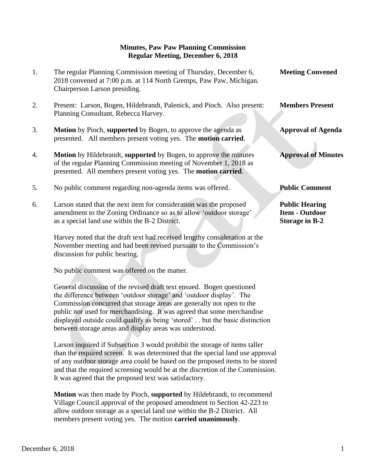## **Minutes, Paw Paw Planning Commission Regular Meeting, December 6, 2018**

| 1. | The regular Planning Commission meeting of Thursday, December 6,<br>2018 convened at 7:00 p.m. at 114 North Gremps, Paw Paw, Michigan.<br>Chairperson Larson presiding.                                                 | <b>Meeting Convened</b>                                                 |
|----|-------------------------------------------------------------------------------------------------------------------------------------------------------------------------------------------------------------------------|-------------------------------------------------------------------------|
| 2. | Present: Larson, Bogen, Hildebrandt, Palenick, and Pioch. Also present:<br>Planning Consultant, Rebecca Harvey.                                                                                                         | <b>Members Present</b>                                                  |
| 3. | Motion by Pioch, supported by Bogen, to approve the agenda as<br>presented. All members present voting yes. The <b>motion carried</b> .                                                                                 | <b>Approval of Agenda</b>                                               |
| 4. | <b>Motion</b> by Hildebrandt, supported by Bogen, to approve the minutes<br>of the regular Planning Commission meeting of November 1, 2018 as<br>presented. All members present voting yes. The <b>motion carried</b> . | <b>Approval of Minutes</b>                                              |
| 5. | No public comment regarding non-agenda items was offered.                                                                                                                                                               | <b>Public Comment</b>                                                   |
| 6. | Larson stated that the next item for consideration was the proposed<br>amendment to the Zoning Ordinance so as to allow 'outdoor storage'<br>as a special land use within the B-2 District.                             | <b>Public Hearing</b><br><b>Item - Outdoor</b><br><b>Storage in B-2</b> |
|    | Harvay noted that the draft text had received lengthy consideration at the                                                                                                                                              |                                                                         |

 Harvey noted that the draft text had received lengthy consideration at the November meeting and had been revised pursuant to the Commission's discussion for public hearing.

No public comment was offered on the matter.

 General discussion of the revised draft text ensued. Bogen questioned the difference between 'outdoor storage' and 'outdoor display'. The Commission concurred that storage areas are generally not open to the public nor used for merchandising. It was agreed that some merchandise displayed outside could qualify as being 'stored' . . but the basic distinction between storage areas and display areas was understood.

 Larson inquired if Subsection 3 would prohibit the storage of items taller than the required screen. It was determined that the special land use approval of any outdoor storage area could be based on the proposed items to be stored and that the required screening would be at the discretion of the Commission. It was agreed that the proposed text was satisfactory.

**Motion** was then made by Pioch, **supported** by Hildebrandt, to recommend Village Council approval of the proposed amendment to Section 42-223 to allow outdoor storage as a special land use within the B-2 District. All members present voting yes. The motion **carried unanimously**.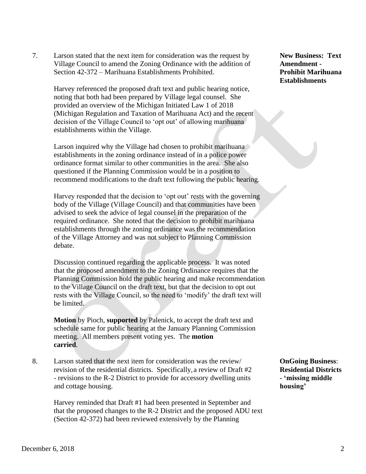7. Larson stated that the next item for consideration was the request by **New Business: Text**  Village Council to amend the Zoning Ordinance with the addition of **Amendment -** Section 42-372 – Marihuana Establishments Prohibited. **Prohibit Marihuana**

Harvey referenced the proposed draft text and public hearing notice, noting that both had been prepared by Village legal counsel. She provided an overview of the Michigan Initiated Law 1 of 2018 (Michigan Regulation and Taxation of Marihuana Act) and the recent decision of the Village Council to 'opt out' of allowing marihuana establishments within the Village.

Larson inquired why the Village had chosen to prohibit marihuana establishments in the zoning ordinance instead of in a police power ordinance format similar to other communities in the area. She also questioned if the Planning Commission would be in a position to recommend modifications to the draft text following the public hearing.

Harvey responded that the decision to 'opt out' rests with the governing body of the Village (Village Council) and that communities have been advised to seek the advice of legal counsel in the preparation of the required ordinance. She noted that the decision to prohibit marihuana establishments through the zoning ordinance was the recommendation of the Village Attorney and was not subject to Planning Commission debate.

Discussion continued regarding the applicable process. It was noted that the proposed amendment to the Zoning Ordinance requires that the Planning Commission hold the public hearing and make recommendation to the Village Council on the draft text, but that the decision to opt out rests with the Village Council, so the need to 'modify' the draft text will be limited.

**Motion** by Pioch, **supported** by Palenick, to accept the draft text and schedule same for public hearing at the January Planning Commission meeting. All members present voting yes. The **motion carried**.

8. Larson stated that the next item for consideration was the review/ **OnGoing Business**: revision of the residential districts. Specifically, a review of Draft #2 **Residential Districts** - revisions to the R-2 District to provide for accessory dwelling units **- 'missing middle** and cottage housing. **housing'**

 Harvey reminded that Draft #1 had been presented in September and that the proposed changes to the R-2 District and the proposed ADU text (Section 42-372) had been reviewed extensively by the Planning

**Establishments**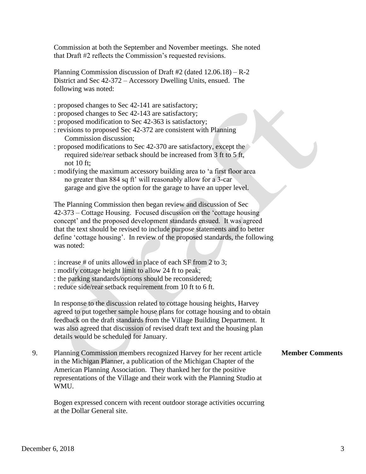Commission at both the September and November meetings. She noted that Draft #2 reflects the Commission's requested revisions.

 Planning Commission discussion of Draft #2 (dated 12.06.18) – R-2 District and Sec 42-372 – Accessory Dwelling Units, ensued. The following was noted:

- : proposed changes to Sec 42-141 are satisfactory;
- : proposed changes to Sec 42-143 are satisfactory;
- : proposed modification to Sec 42-363 is satisfactory;
- : revisions to proposed Sec 42-372 are consistent with Planning Commission discussion;
- : proposed modifications to Sec 42-370 are satisfactory, except the required side/rear setback should be increased from 3 ft to 5 ft, not 10 ft;
- : modifying the maximum accessory building area to 'a first floor area no greater than 884 sq ft' will reasonably allow for a 3-car garage and give the option for the garage to have an upper level.

 The Planning Commission then began review and discussion of Sec 42-373 – Cottage Housing. Focused discussion on the 'cottage housing concept' and the proposed development standards ensued. It was agreed that the text should be revised to include purpose statements and to better define 'cottage housing'. In review of the proposed standards, the following was noted:

- : increase # of units allowed in place of each SF from 2 to 3;
- : modify cottage height limit to allow 24 ft to peak;
- : the parking standards/options should be reconsidered;

: reduce side/rear setback requirement from 10 ft to 6 ft.

 In response to the discussion related to cottage housing heights, Harvey agreed to put together sample house plans for cottage housing and to obtain feedback on the draft standards from the Village Building Department. It was also agreed that discussion of revised draft text and the housing plan details would be scheduled for January.

9. Planning Commission members recognized Harvey for her recent article **Member Comments** in the Michigan Planner, a publication of the Michigan Chapter of the American Planning Association. They thanked her for the positive representations of the Village and their work with the Planning Studio at WMU.

 Bogen expressed concern with recent outdoor storage activities occurring at the Dollar General site.

## December 6, 2018 3